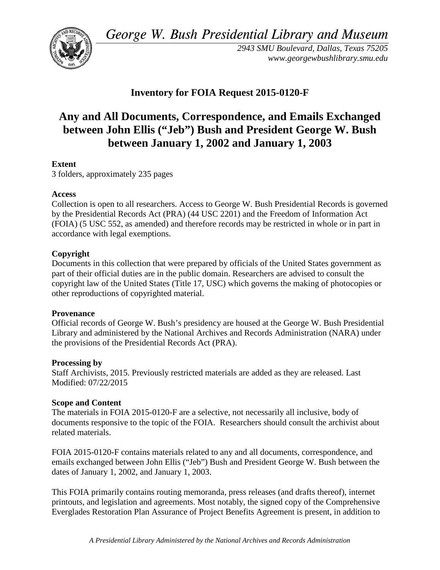*George W. Bush Presidential Library and Museum* 



*2943 SMU Boulevard, Dallas, Texas 75205 <www.georgewbushlibrary.smu.edu>*

# **Inventory for FOIA Request 2015-0120-F**

# **between January 1, 2002 and January 1, 2003 Any and All Documents, Correspondence, and Emails Exchanged between John Ellis ("Jeb") Bush and President George W. Bush**

## **Extent**

3 folders, approximately 235 pages

### **Access**

 by the Presidential Records Act (PRA) (44 USC 2201) and the Freedom of Information Act Collection is open to all researchers. Access to George W. Bush Presidential Records is governed (FOIA) (5 USC 552, as amended) and therefore records may be restricted in whole or in part in accordance with legal exemptions.

### **Copyright**

 Documents in this collection that were prepared by officials of the United States government as part of their official duties are in the public domain. Researchers are advised to consult the copyright law of the United States (Title 17, USC) which governs the making of photocopies or other reproductions of copyrighted material.

### **Provenance**

 Official records of George W. Bush's presidency are housed at the George W. Bush Presidential Library and administered by the National Archives and Records Administration (NARA) under the provisions of the Presidential Records Act (PRA).

### **Processing by**

 Modified: 07/22/2015 Staff Archivists, 2015. Previously restricted materials are added as they are released. Last

### **Scope and Content**

The materials in FOIA 2015-0120-F are a selective, not necessarily all inclusive, body of documents responsive to the topic of the FOIA. Researchers should consult the archivist about related materials.

FOIA 2015-0120-F contains materials related to any and all documents, correspondence, and emails exchanged between John Ellis ("Jeb") Bush and President George W. Bush between the dates of January 1, 2002, and January 1, 2003.

This FOIA primarily contains routing memoranda, press releases (and drafts thereof), internet printouts, and legislation and agreements. Most notably, the signed copy of the Comprehensive Everglades Restoration Plan Assurance of Project Benefits Agreement is present, in addition to